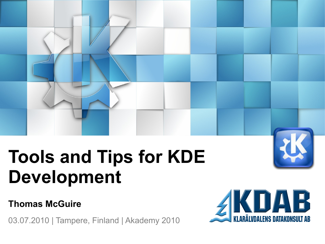# **Tools and Tips for KDE Development**

### **Thomas McGuire**

03.07.2010 | Tampere, Finland | Akademy 2010



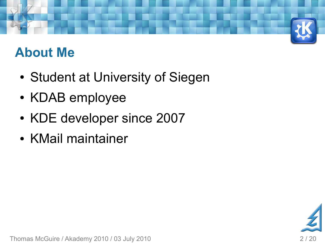### **About Me**

- Student at University of Siegen
- KDAB employee
- KDE developer since 2007
- KMail maintainer



Thomas McGuire / Akademy 2010 / 03 July 2010 2 / 20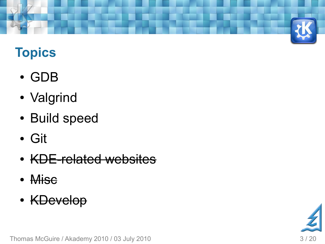

### **Topics**

- GDB
- Valgrind
- Build speed
- Git
- KDE-related websites
- Misc
- KDevelop

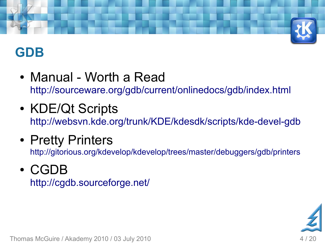

### **GDB**

- Manual Worth a Read <http://sourceware.org/gdb/current/onlinedocs/gdb/index.html>
- KDE/Qt Scripts <http://websvn.kde.org/trunk/KDE/kdesdk/scripts/kde-devel-gdb>
- Pretty Printers

<http://gitorious.org/kdevelop/kdevelop/trees/master/debuggers/gdb/printers>

### ● CGDB

<http://cgdb.sourceforge.net/>



Thomas McGuire / Akademy 2010 / 03 July 2010 4 / 20 August 2010 4 / 20 August 20 August 20 August 20 August 20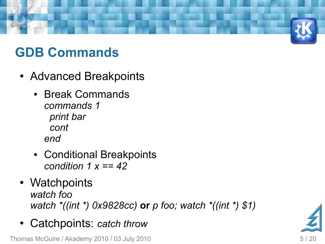

### **GDB Commands**

- Advanced Breakpoints
	- Break Commands *commands 1 print bar cont end*
	- Conditional Breakpoints *condition 1 x == 42*
- Watchpoints *watch foo watch \*((int \*) 0x9828cc)* **or** *p foo; watch \*((int \*) \$1)*
- Catchpoints: *catch throw*

Thomas McGuire / Akademy 2010 / 03 July 2010 5 / 20 September 2010 5 / 20 September 2010 5 / 20

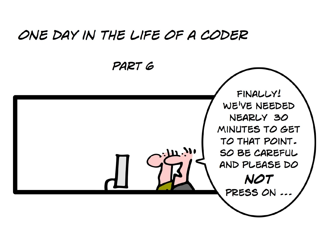### ONE DAY IN THE LIFE OF A CODER PART 6 FINALLY! WE'VE NEEDED NEARLY 30 MINUTES TO GET TO THAT POINT.  $\mathbf{u}$ . SO BE CAREFUL AND PLEASE DO **NOT** PRESS ON ...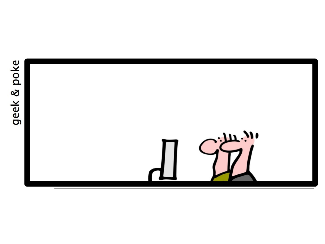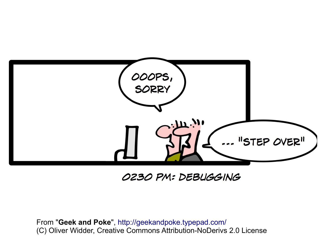

### OZ3O PM: DEBUGGING

From "**Geek and Poke**", <http://geekandpoke.typepad.com/> (C) Oliver Widder, Creative Commons Attribution-NoDerivs 2.0 License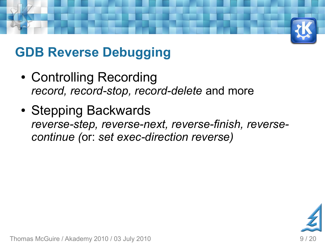

### **GDB Reverse Debugging**

- Controlling Recording *record, record-stop, record-delete* and more
- Stepping Backwards *reverse-step, reverse-next, reverse-finish, reversecontinue (*or: *set exec-direction reverse)*

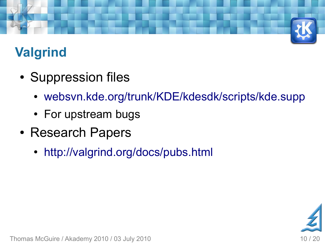

## **Valgrind**

- Suppression files
	- [websvn.kde.org/trunk/KDE/kdesdk/scripts/kde.supp](http://websvn.kde.org/trunk/KDE/kdesdk/scripts/kde.supp)
	- For upstream bugs
- Research Papers
	- <http://valgrind.org/docs/pubs.html>



Thomas McGuire / Akademy 2010 / 03 July 2010 10 10 120 10 10 120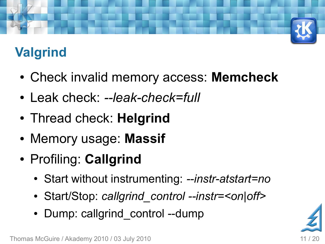## **Valgrind**

- Check invalid memory access: **Memcheck**
- Leak check: --leak-check=full
- Thread check: **Helgrind**
- Memory usage: **Massif**
- Profiling: **Callgrind**
	- Start without instrumenting: *--instr-atstart=no*
	- Start/Stop: *callgrind\_control --instr=<on|off>*
	- Dump: callgrind control --dump

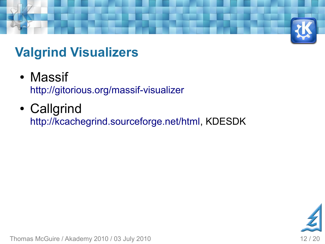

### **Valgrind Visualizers**

- Massif <http://gitorious.org/massif-visualizer>
- Callgrind [http://kcachegrind.sourceforge.net/html](http://kcachegrind.sourceforge.net/html/Home.html), KDESDK



Thomas McGuire / Akademy 2010 / 03 July 2010 12 0 12 / 20 12 / 20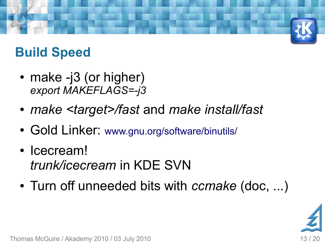### **Build Speed**

- make  $-i3$  (or higher) *export MAKEFLAGS=-j3*
- *make <target>/fast* and *make install/fast*
- Gold Linker: [www.gnu.org/software/binutils/](http://www.gnu.org/software/binutils/)
- Icecream! *trunk/icecream* in KDE SVN
- Turn off unneeded bits with *ccmake* (doc, ...)



Thomas McGuire / Akademy 2010 / 03 July 2010 13 / 20 13 / 20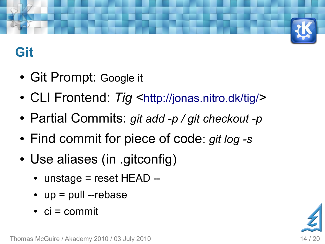

## **Git**

- Git Prompt: Google it
- CLI Frontend: Tig <<http://jonas.nitro.dk/tig/>>
- Partial Commits: *git add -p / git checkout -p*
- Find commit for piece of code: *git log -s*
- Use aliases (in .gitconfig)
	- $\cdot$  unstage = reset HEAD --
	- $\cdot$  up = pull --rebase
	- $\cdot$  ci = commit



Thomas McGuire / Akademy 2010 / 03 July 2010 14 / 20 14 / 20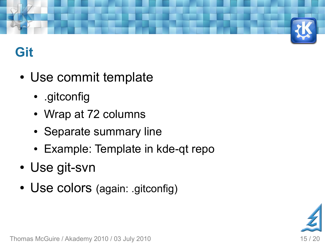

### **Git**

- Use commit template
	- .gitconfig
	- Wrap at 72 columns
	- Separate summary line
	- Example: Template in kde-qt repo
- Use git-svn
- Use colors (again: .gitconfig)



Thomas McGuire / Akademy 2010 / 03 July 2010 15 / 20 16 15 / 20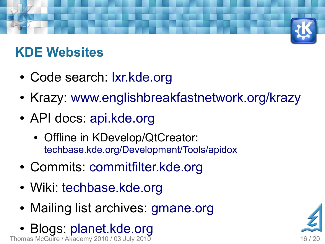### **KDE Websites**

- Code search: Ixr.kde.org
- Krazy: [www.englishbreakfastnetwork.org/krazy](http://www.englishbreakfastnetwork.org/krazy)
- API docs: [api.kde.org](http://api.kde.org/)
	- Offline in KDevelop/QtCreator: [techbase.kde.org/Development/Tools/apidox](http://techbase.kde.org/Development/Tools/apidox)
- Commits: [commitfilter.kde.org](http://commitfilter.kde.org/)
- Wiki: [techbase.kde.org](http://techbase.kde.org/)
- Mailing list archives: [gmane.org](http://gmane.org/)
- Thomas McGuire / Akademy 2010 / 03 July 2010 16 / 20 16 / 20 16 / 20 ● Blogs: [planet.kde.org](http://gmane.org/)

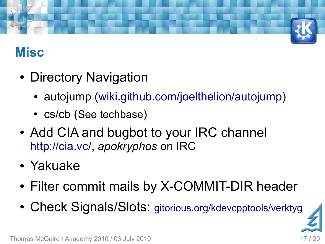

### **Misc**

- Directory Navigation
	- autojump [\(wiki.github.com/joelthelion/autojump](http://wiki.github.com/joelthelion/autojump/))
	- cs/cb (See techbase)
- Add CIA and bugbot to your IRC channel [http://cia.vc/,](http://cia.vc/) *apokryphos* on IRC
- Yakuake
- Filter commit mails by X-COMMIT-DIR header
- Check Signals/Slots: [gitorious.org/kdevcpptools/verktyg](http://gitorious.org/kdevcpptools/verktyg)

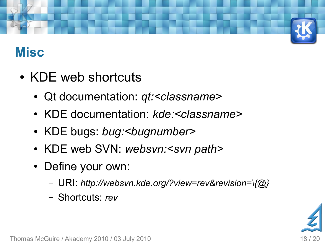

### **Misc**

- KDE web shortcuts
	- Qt documentation: *qt:<classname>*
	- KDE documentation: *kde:<classname>*
	- KDE bugs: *bug:<bugnumber>*
	- KDE web SVN: *websvn:<svn path>*
	- Define your own:
		- URI: *http://websvn.kde.org/?view=rev&revision=\{@}*
		- Shortcuts: *rev*

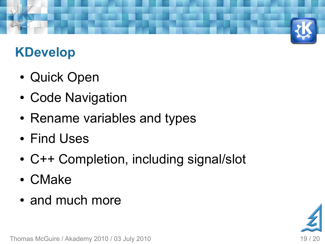### **KDevelop**

- Quick Open
- Code Navigation
- Rename variables and types
- Find Uses
- C++ Completion, including signal/slot
- CMake
- and much more